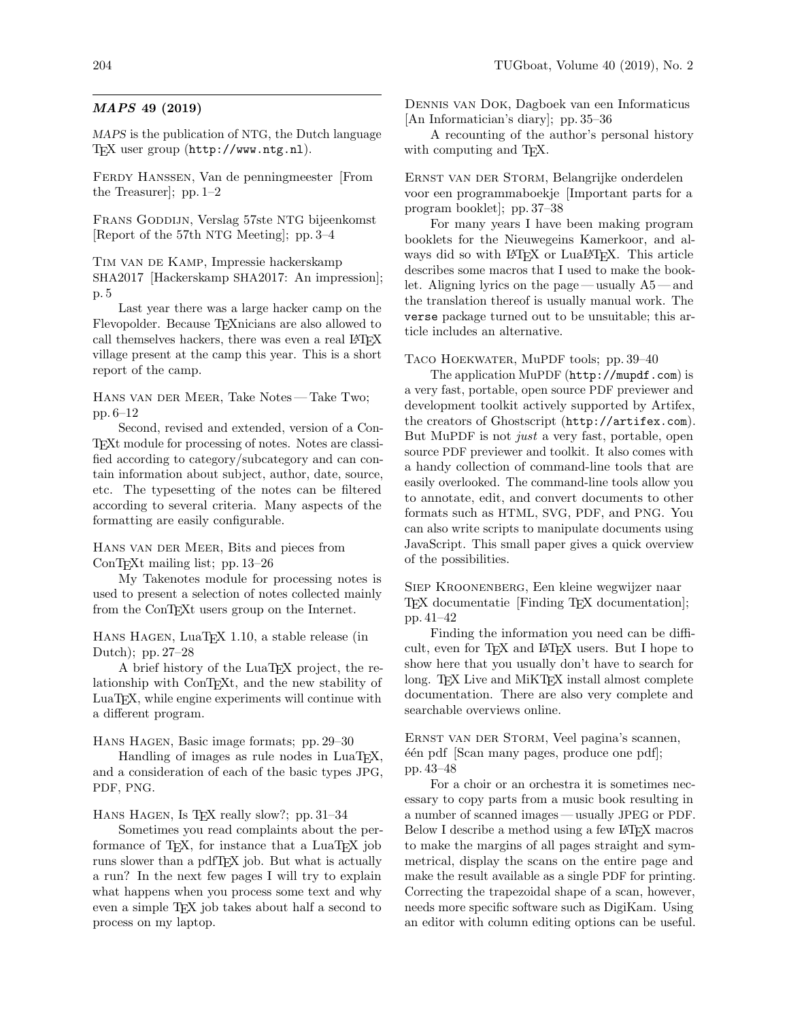## MAPS 49 (2019)

MAPS is the publication of NTG, the Dutch language TEX user group (http://www.ntg.nl).

Ferdy Hanssen, Van de penningmeester [From the Treasurer]; pp. 1–2

Frans Goddijn, Verslag 57ste NTG bijeenkomst [Report of the 57th NTG Meeting]; pp. 3–4

Tim van de Kamp, Impressie hackerskamp SHA2017 [Hackerskamp SHA2017: An impression]; p. 5

Last year there was a large hacker camp on the Flevopolder. Because TEXnicians are also allowed to call themselves hackers, there was even a real LAT<sub>EX</sub> village present at the camp this year. This is a short report of the camp.

Hans van der Meer, Take Notes— Take Two; pp. 6–12

Second, revised and extended, version of a Con-TEXt module for processing of notes. Notes are classified according to category/subcategory and can contain information about subject, author, date, source, etc. The typesetting of the notes can be filtered according to several criteria. Many aspects of the formatting are easily configurable.

HANS VAN DER MEER, Bits and pieces from ConTEXt mailing list; pp. 13–26

My Takenotes module for processing notes is used to present a selection of notes collected mainly from the ConTEXt users group on the Internet.

Hans Hagen, LuaTEX 1.10, a stable release (in Dutch); pp. 27–28

A brief history of the LuaTEX project, the relationship with ConT<sub>E</sub>X<sub>t</sub>, and the new stability of LuaTEX, while engine experiments will continue with a different program.

HANS HAGEN, Basic image formats; pp. 29-30

Handling of images as rule nodes in LuaTEX, and a consideration of each of the basic types JPG, PDF, PNG.

HANS HAGEN, Is TEX really slow?; pp. 31-34

Sometimes you read complaints about the performance of T<sub>EX</sub>, for instance that a LuaT<sub>EX</sub> job runs slower than a pdfTEX job. But what is actually a run? In the next few pages I will try to explain what happens when you process some text and why even a simple TEX job takes about half a second to process on my laptop.

Dennis van Dok, Dagboek van een Informaticus [An Informatician's diary]; pp. 35–36

A recounting of the author's personal history with computing and T<sub>E</sub>X.

Ernst van der Storm, Belangrijke onderdelen voor een programmaboekje [Important parts for a program booklet]; pp. 37–38

For many years I have been making program booklets for the Nieuwegeins Kamerkoor, and always did so with LAT<sub>EX</sub> or LuaLAT<sub>EX</sub>. This article describes some macros that I used to make the booklet. Aligning lyrics on the page — usually A5 — and the translation thereof is usually manual work. The verse package turned out to be unsuitable; this article includes an alternative.

Taco Hoekwater, MuPDF tools; pp. 39–40

The application MuPDF (http://mupdf.com) is a very fast, portable, open source PDF previewer and development toolkit actively supported by Artifex, the creators of Ghostscript (http://artifex.com). But MuPDF is not *just* a very fast, portable, open source PDF previewer and toolkit. It also comes with a handy collection of command-line tools that are easily overlooked. The command-line tools allow you to annotate, edit, and convert documents to other formats such as HTML, SVG, PDF, and PNG. You can also write scripts to manipulate documents using JavaScript. This small paper gives a quick overview of the possibilities.

Siep Kroonenberg, Een kleine wegwijzer naar TEX documentatie [Finding TEX documentation]; pp. 41–42

Finding the information you need can be difficult, even for T<sub>F</sub>X and L<sup>AT</sup>FX users. But I hope to show here that you usually don't have to search for long. T<sub>F</sub>X Live and MiKT<sub>F</sub>X install almost complete documentation. There are also very complete and searchable overviews online.

Ernst van der Storm, Veel pagina's scannen,  $\acute{e}$ én pdf [Scan many pages, produce one pdf]; pp. 43–48

For a choir or an orchestra it is sometimes necessary to copy parts from a music book resulting in a number of scanned images — usually JPEG or PDF. Below I describe a method using a few IATFX macros to make the margins of all pages straight and symmetrical, display the scans on the entire page and make the result available as a single PDF for printing. Correcting the trapezoidal shape of a scan, however, needs more specific software such as DigiKam. Using an editor with column editing options can be useful.